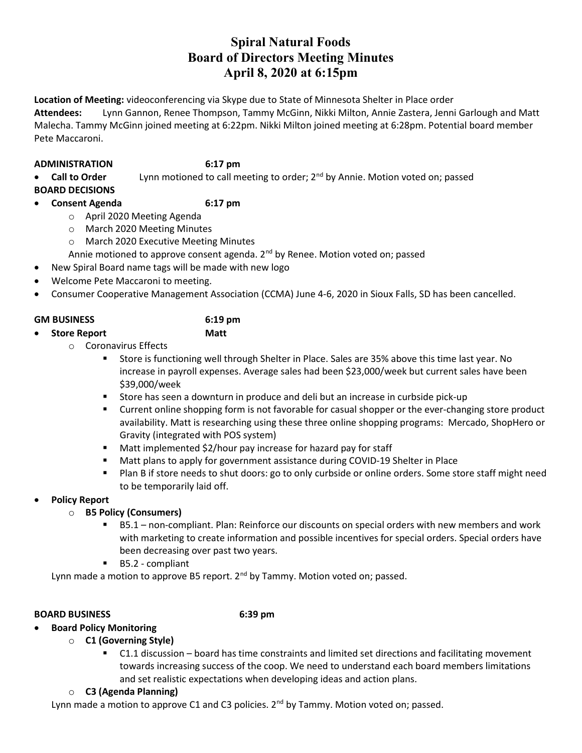# Spiral Natural Foods Board of Directors Meeting Minutes April 8, 2020 at 6:15pm

Location of Meeting: videoconferencing via Skype due to State of Minnesota Shelter in Place order

Attendees: Lynn Gannon, Renee Thompson, Tammy McGinn, Nikki Milton, Annie Zastera, Jenni Garlough and Matt Malecha. Tammy McGinn joined meeting at 6:22pm. Nikki Milton joined meeting at 6:28pm. Potential board member Pete Maccaroni.

## ADMINISTRATION 6:17 pm

• Call to Order Lynn motioned to call meeting to order; 2<sup>nd</sup> by Annie. Motion voted on; passed BOARD DECISIONS

- Consent Agenda 6:17 pm
	- o April 2020 Meeting Agenda
	- o March 2020 Meeting Minutes
	- o March 2020 Executive Meeting Minutes

Annie motioned to approve consent agenda.  $2^{nd}$  by Renee. Motion voted on; passed

- New Spiral Board name tags will be made with new logo
- Welcome Pete Maccaroni to meeting.
- Consumer Cooperative Management Association (CCMA) June 4-6, 2020 in Sioux Falls, SD has been cancelled.

# GM BUSINESS 6:19 pm

- Store Report Matt
	-
	- o Coronavirus Effects
		- Store is functioning well through Shelter in Place. Sales are 35% above this time last year. No increase in payroll expenses. Average sales had been \$23,000/week but current sales have been \$39,000/week
		- Store has seen a downturn in produce and deli but an increase in curbside pick-up
		- Current online shopping form is not favorable for casual shopper or the ever-changing store product availability. Matt is researching using these three online shopping programs: Mercado, ShopHero or Gravity (integrated with POS system)
		- Matt implemented \$2/hour pay increase for hazard pay for staff
		- Matt plans to apply for government assistance during COVID-19 Shelter in Place
		- Plan B if store needs to shut doors: go to only curbside or online orders. Some store staff might need to be temporarily laid off.

# Policy Report

- o B5 Policy (Consumers)
	- B5.1 non-compliant. Plan: Reinforce our discounts on special orders with new members and work with marketing to create information and possible incentives for special orders. Special orders have been decreasing over past two years.
	- B5.2 compliant

Lynn made a motion to approve B5 report. 2<sup>nd</sup> by Tammy. Motion voted on; passed.

# BOARD BUSINESS 6:39 pm

- Board Policy Monitoring
	- o C1 (Governing Style)
		- C1.1 discussion board has time constraints and limited set directions and facilitating movement towards increasing success of the coop. We need to understand each board members limitations and set realistic expectations when developing ideas and action plans.
		- o C3 (Agenda Planning)

Lynn made a motion to approve C1 and C3 policies. 2<sup>nd</sup> by Tammy. Motion voted on; passed.